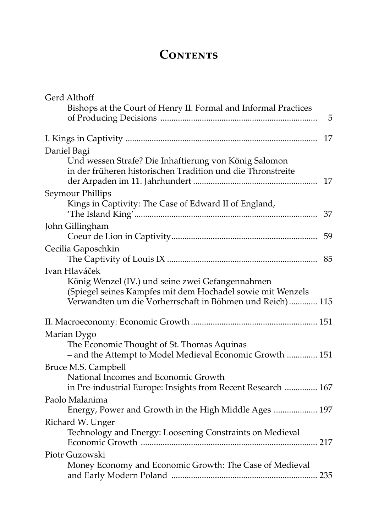## CONTENTS

| Gerd Althoff                                                                                                                                                               |   |
|----------------------------------------------------------------------------------------------------------------------------------------------------------------------------|---|
| Bishops at the Court of Henry II. Formal and Informal Practices                                                                                                            | 5 |
|                                                                                                                                                                            |   |
| 17                                                                                                                                                                         |   |
| Daniel Bagi                                                                                                                                                                |   |
| Und wessen Strafe? Die Inhaftierung von König Salomon<br>in der früheren historischen Tradition und die Thronstreite<br>17                                                 |   |
| Seymour Phillips                                                                                                                                                           |   |
| Kings in Captivity: The Case of Edward II of England,<br>37                                                                                                                |   |
| John Gillingham                                                                                                                                                            |   |
| 59                                                                                                                                                                         |   |
| Cecilia Gaposchkin<br>85                                                                                                                                                   |   |
| Ivan Hlaváček                                                                                                                                                              |   |
| König Wenzel (IV.) und seine zwei Gefangennahmen<br>(Spiegel seines Kampfes mit dem Hochadel sowie mit Wenzels<br>Verwandten um die Vorherrschaft in Böhmen und Reich) 115 |   |
|                                                                                                                                                                            |   |
| Marian Dygo                                                                                                                                                                |   |
| The Economic Thought of St. Thomas Aquinas<br>- and the Attempt to Model Medieval Economic Growth  151                                                                     |   |
| Bruce M.S. Campbell                                                                                                                                                        |   |
| National Incomes and Economic Growth<br>in Pre-industrial Europe: Insights from Recent Research  167                                                                       |   |
| Paolo Malanima                                                                                                                                                             |   |
| Energy, Power and Growth in the High Middle Ages  197                                                                                                                      |   |
| Richard W. Unger                                                                                                                                                           |   |
| Technology and Energy: Loosening Constraints on Medieval                                                                                                                   |   |
| Piotr Guzowski                                                                                                                                                             |   |
| Money Economy and Economic Growth: The Case of Medieval                                                                                                                    |   |
|                                                                                                                                                                            |   |